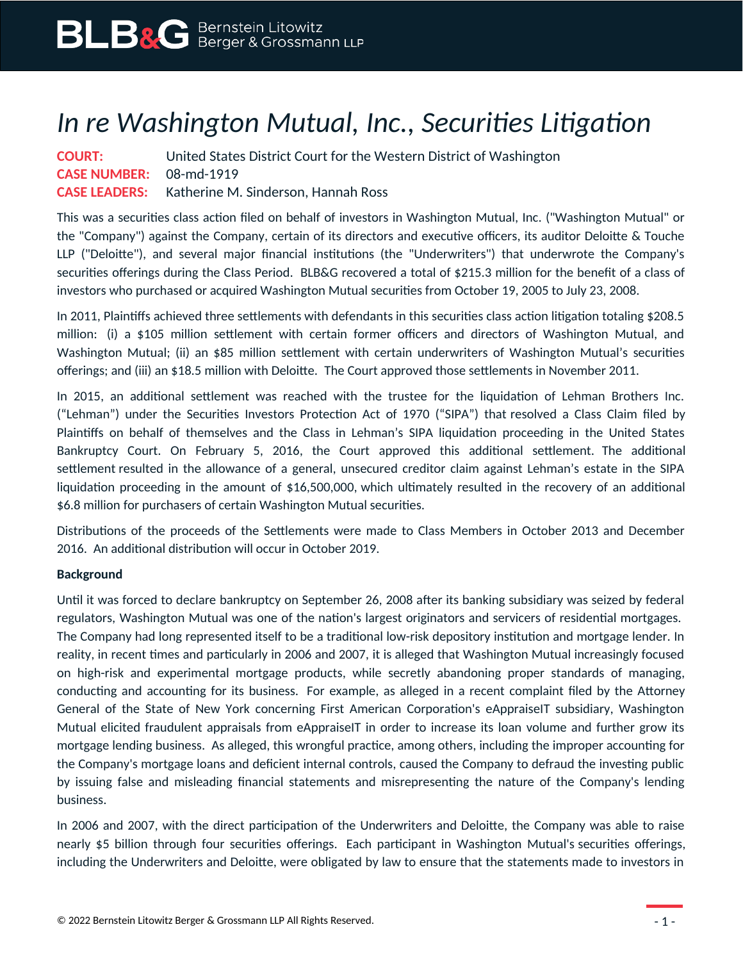## *In re Washington Mutual, Inc., Securities Litigation*

| <b>COURT:</b>                  | United States District Court for the Western District of Washington |
|--------------------------------|---------------------------------------------------------------------|
| <b>CASE NUMBER: 08-md-1919</b> |                                                                     |
|                                | <b>CASE LEADERS:</b> Katherine M. Sinderson, Hannah Ross            |

This was a securities class action filed on behalf of investors in Washington Mutual, Inc. ("Washington Mutual" or the "Company") against the Company, certain of its directors and executive officers, its auditor Deloitte & Touche LLP ("Deloitte"), and several major financial institutions (the "Underwriters") that underwrote the Company's securities offerings during the Class Period. BLB&G recovered a total of \$215.3 million for the benefit of a class of investors who purchased or acquired Washington Mutual securities from October 19, 2005 to July 23, 2008.

In 2011, Plaintiffs achieved three settlements with defendants in this securities class action litigation totaling \$208.5 million: (i) a \$105 million settlement with certain former officers and directors of Washington Mutual, and Washington Mutual; (ii) an \$85 million settlement with certain underwriters of Washington Mutual's securities offerings; and (iii) an \$18.5 million with Deloitte. The Court approved those settlements in November 2011.

In 2015, an additional settlement was reached with the trustee for the liquidation of Lehman Brothers Inc. ("Lehman") under the Securities Investors Protection Act of 1970 ("SIPA") that resolved a Class Claim filed by Plaintiffs on behalf of themselves and the Class in Lehman's SIPA liquidation proceeding in the United States Bankruptcy Court. On February 5, 2016, the Court approved this additional settlement. The additional settlement resulted in the allowance of a general, unsecured creditor claim against Lehman's estate in the SIPA liquidation proceeding in the amount of \$16,500,000, which ultimately resulted in the recovery of an additional \$6.8 million for purchasers of certain Washington Mutual securities.

Distributions of the proceeds of the Settlements were made to Class Members in October 2013 and December 2016. An additional distribution will occur in October 2019.

## **Background**

Until it was forced to declare bankruptcy on September 26, 2008 after its banking subsidiary was seized by federal regulators, Washington Mutual was one of the nation's largest originators and servicers of residential mortgages. The Company had long represented itself to be a traditional low-risk depository institution and mortgage lender. In reality, in recent times and particularly in 2006 and 2007, it is alleged that Washington Mutual increasingly focused on high-risk and experimental mortgage products, while secretly abandoning proper standards of managing, conducting and accounting for its business. For example, as alleged in a recent complaint filed by the Attorney General of the State of New York concerning First American Corporation's eAppraiseIT subsidiary, Washington Mutual elicited fraudulent appraisals from eAppraiseIT in order to increase its loan volume and further grow its mortgage lending business. As alleged, this wrongful practice, among others, including the improper accounting for the Company's mortgage loans and deficient internal controls, caused the Company to defraud the investing public by issuing false and misleading financial statements and misrepresenting the nature of the Company's lending business.

In 2006 and 2007, with the direct participation of the Underwriters and Deloitte, the Company was able to raise nearly \$5 billion through four securities offerings. Each participant in Washington Mutual's securities offerings, including the Underwriters and Deloitte, were obligated by law to ensure that the statements made to investors in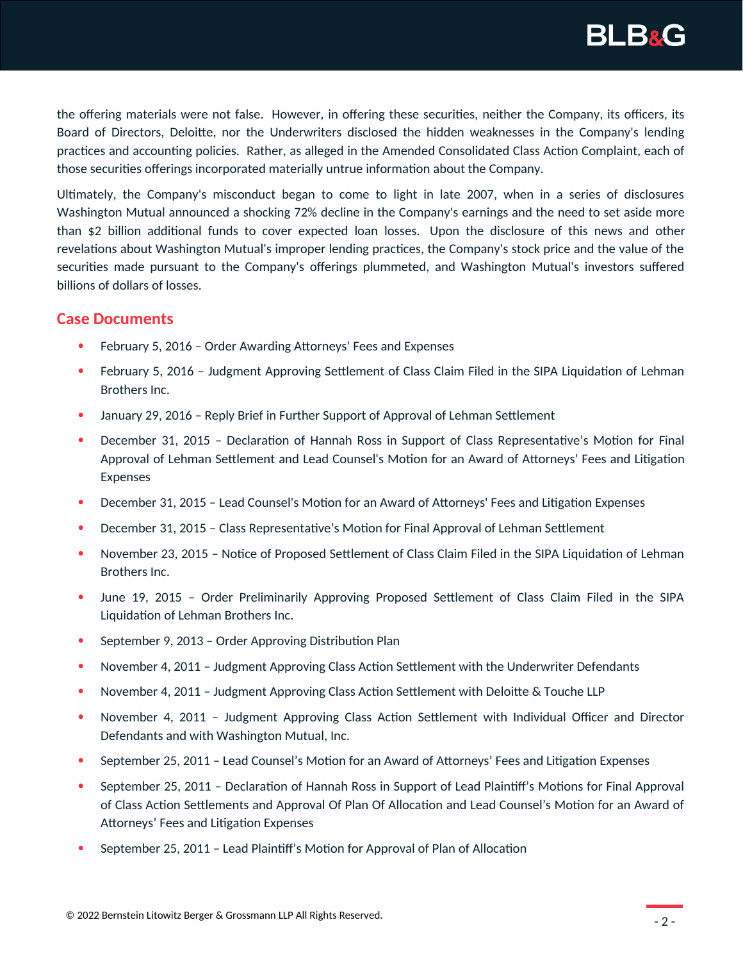

the offering materials were not false. However, in offering these securities, neither the Company, its officers, its Board of Directors, Deloitte, nor the Underwriters disclosed the hidden weaknesses in the Company's lending practices and accounting policies. Rather, as alleged in the Amended Consolidated Class Action Complaint, each of those securities offerings incorporated materially untrue information about the Company.

Ultimately, the Company's misconduct began to come to light in late 2007, when in a series of disclosures Washington Mutual announced a shocking 72% decline in the Company's earnings and the need to set aside more than \$2 billion additional funds to cover expected loan losses. Upon the disclosure of this news and other revelations about Washington Mutual's improper lending practices, the Company's stock price and the value of the securities made pursuant to the Company's offerings plummeted, and Washington Mutual's investors suffered billions of dollars of losses.

## **Case Documents**

- February 5, 2016 Order Awarding Attorneys' Fees and Expenses
- February 5, 2016 Judgment Approving Settlement of Class Claim Filed in the SIPA Liquidation of Lehman Brothers Inc.
- January 29, 2016 Reply Brief in Further Support of Approval of Lehman Settlement
- December 31, 2015 Declaration of Hannah Ross in Support of Class Representative's Motion for Final Approval of Lehman Settlement and Lead Counsel's Motion for an Award of Attorneys' Fees and Litigation Expenses
- December 31, 2015 Lead Counsel's Motion for an Award of Attorneys' Fees and Litigation Expenses
- December 31, 2015 Class Representative's Motion for Final Approval of Lehman Settlement
- November 23, 2015 Notice of Proposed Settlement of Class Claim Filed in the SIPA Liquidation of Lehman Brothers Inc.
- June 19, 2015 Order Preliminarily Approving Proposed Settlement of Class Claim Filed in the SIPA Liquidation of Lehman Brothers Inc.
- September 9, 2013 Order Approving Distribution Plan
- November 4, 2011 Judgment Approving Class Action Settlement with the Underwriter Defendants
- November 4, 2011 Judgment Approving Class Action Settlement with Deloitte & Touche LLP
- November 4, 2011 Judgment Approving Class Action Settlement with Individual Officer and Director Defendants and with Washington Mutual, Inc.
- September 25, 2011 Lead Counsel's Motion for an Award of Attorneys' Fees and Litigation Expenses
- September 25, 2011 Declaration of Hannah Ross in Support of Lead Plaintiff's Motions for Final Approval of Class Action Settlements and Approval Of Plan Of Allocation and Lead Counsel's Motion for an Award of Attorneys' Fees and Litigation Expenses
- September 25, 2011 Lead Plaintiff's Motion for Approval of Plan of Allocation